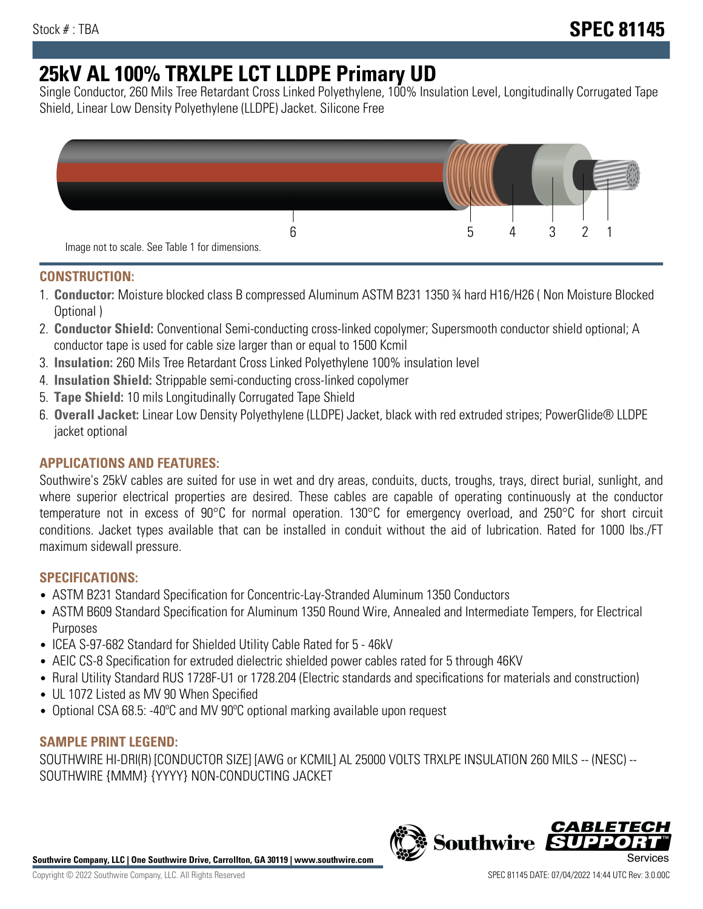# **25kV AL 100% TRXLPE LCT LLDPE Primary UD**

Single Conductor, 260 Mils Tree Retardant Cross Linked Polyethylene, 100% Insulation Level, Longitudinally Corrugated Tape Shield, Linear Low Density Polyethylene (LLDPE) Jacket. Silicone Free



## **CONSTRUCTION:**

- 1. **Conductor:** Moisture blocked class B compressed Aluminum ASTM B231 1350 ¾ hard H16/H26 ( Non Moisture Blocked Optional )
- 2. **Conductor Shield:** Conventional Semi-conducting cross-linked copolymer; Supersmooth conductor shield optional; A conductor tape is used for cable size larger than or equal to 1500 Kcmil
- 3. **Insulation:** 260 Mils Tree Retardant Cross Linked Polyethylene 100% insulation level
- 4. **Insulation Shield:** Strippable semi-conducting cross-linked copolymer
- 5. **Tape Shield:** 10 mils Longitudinally Corrugated Tape Shield
- 6. **Overall Jacket:** Linear Low Density Polyethylene (LLDPE) Jacket, black with red extruded stripes; PowerGlide® LLDPE jacket optional

## **APPLICATIONS AND FEATURES:**

Southwire's 25kV cables are suited for use in wet and dry areas, conduits, ducts, troughs, trays, direct burial, sunlight, and where superior electrical properties are desired. These cables are capable of operating continuously at the conductor temperature not in excess of 90°C for normal operation. 130°C for emergency overload, and 250°C for short circuit conditions. Jacket types available that can be installed in conduit without the aid of lubrication. Rated for 1000 lbs./FT maximum sidewall pressure.

### **SPECIFICATIONS:**

- ASTM B231 Standard Specification for Concentric-Lay-Stranded Aluminum 1350 Conductors
- ASTM B609 Standard Specification for Aluminum 1350 Round Wire, Annealed and Intermediate Tempers, for Electrical Purposes
- ICEA S-97-682 Standard for Shielded Utility Cable Rated for 5 46kV
- AEIC CS-8 Specification for extruded dielectric shielded power cables rated for 5 through 46KV
- Rural Utility Standard RUS 1728F-U1 or 1728.204 (Electric standards and specifications for materials and construction)
- UL 1072 Listed as MV 90 When Specified
- Optional CSA 68.5: -40ºC and MV 90ºC optional marking available upon request

### **SAMPLE PRINT LEGEND:**

SOUTHWIRE HI-DRI(R) [CONDUCTOR SIZE] [AWG or KCMIL] AL 25000 VOLTS TRXLPE INSULATION 260 MILS -- (NESC) -- SOUTHWIRE {MMM} {YYYY} NON-CONDUCTING JACKET

**Southwire Company, LLC | One Southwire Drive, Carrollton, GA 30119 | www.southwire.com**